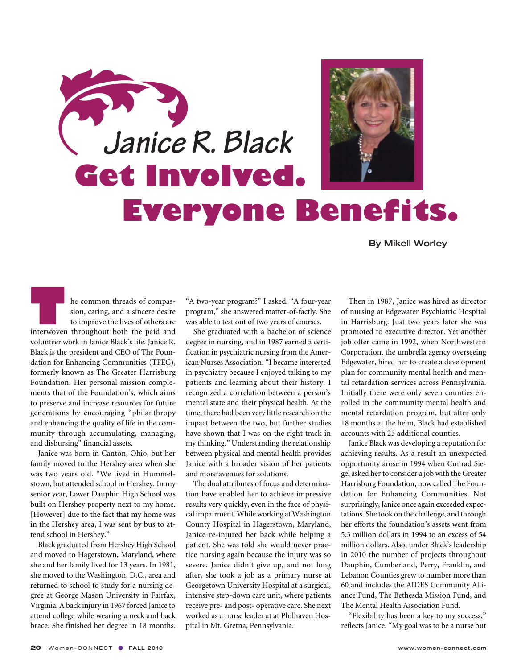

By Mikell Worley

**THE COMMON EXECUTE:**<br>
Interwoven throughout both the paid and<br>
interwoven throughout both the paid and sion, caring, and a sincere desire to improve the lives of others are volunteer work in Janice Black's life. Janice R. Black is the president and CEO of The Foundation for Enhancing Communities (TFEC), formerly known as The Greater Harrisburg Foundation. Her personal mission complements that of the Foundation's, which aims to preserve and increase resources for future generations by encouraging "philanthropy and enhancing the quality of life in the community through accumulating, managing, and disbursing" financial assets.

Janice was born in Canton, Ohio, but her family moved to the Hershey area when she was two years old. "We lived in Hummelstown, but attended school in Hershey. In my senior year, Lower Dauphin High School was built on Hershey property next to my home. [However] due to the fact that my home was in the Hershey area, I was sent by bus to attend school in Hershey."

Black graduated from Hershey High School and moved to Hagerstown, Maryland, where she and her family lived for 13 years. In 1981, she moved to the Washington, D.C., area and returned to school to study for a nursing degree at George Mason University in Fairfax, Virginia. A back injury in 1967 forced Janice to attend college while wearing a neck and back brace. She finished her degree in 18 months.

"A two-year program?" I asked. "A four-year program," she answered matter-of-factly. She was able to test out of two years of courses.

She graduated with a bachelor of science degree in nursing, and in 1987 earned a certification in psychiatric nursing from the American Nurses Association. "I became interested in psychiatry because I enjoyed talking to my patients and learning about their history. I recognized a correlation between a person's mental state and their physical health. At the time, there had been very little research on the impact between the two, but further studies have shown that I was on the right track in my thinking." Understanding the relationship between physical and mental health provides Janice with a broader vision of her patients and more avenues for solutions.

The dual attributes of focus and determination have enabled her to achieve impressive results very quickly, even in the face of physical impairment. While working at Washington County Hospital in Hagerstown, Maryland, Janice re-injured her back while helping a patient. She was told she would never practice nursing again because the injury was so severe. Janice didn't give up, and not long after, she took a job as a primary nurse at Georgetown University Hospital at a surgical, intensive step-down care unit, where patients receive pre- and post- operative care. She next worked as a nurse leader at at Philhaven Hospital in Mt. Gretna, Pennsylvania.

Then in 1987, Janice was hired as director of nursing at Edgewater Psychiatric Hospital in Harrisburg. Just two years later she was promoted to executive director. Yet another job offer came in 1992, when Northwestern Corporation, the umbrella agency overseeing Edgewater, hired her to create a development plan for community mental health and mental retardation services across Pennsylvania. Initially there were only seven counties enrolled in the community mental health and mental retardation program, but after only 18 months at the helm, Black had established accounts with 25 additional counties.

Janice Black was developing a reputation for achieving results. As a result an unexpected opportunity arose in 1994 when Conrad Siegel asked her to consider a job with the Greater Harrisburg Foundation, now called The Foundation for Enhancing Communities. Not surprisingly, Janice once again exceeded expectations. She took on the challenge, and through her efforts the foundation's assets went from 5.3 million dollars in 1994 to an excess of 54 million dollars. Also, under Black's leadership in 2010 the number of projects throughout Dauphin, Cumberland, Perry, Franklin, and Lebanon Counties grew to number more than 60 and includes the AIDES Community Alliance Fund, The Bethesda Mission Fund, and The Mental Health Association Fund.

"Flexibility has been a key to my success," reflects Janice. "My goal was to be a nurse but